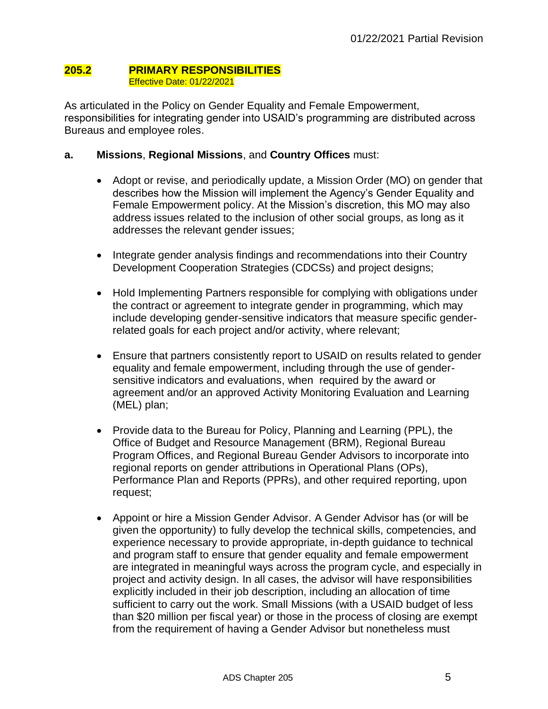#### **205.2 PRIMARY RESPONSIBILITIES** Effective Date: 01/22/2021

As articulated in the Policy on Gender Equality and Female Empowerment, responsibilities for integrating gender into USAID's programming are distributed across Bureaus and employee roles.

# **a. Missions**, **Regional Missions**, and **Country Offices** must:

- Adopt or revise, and periodically update, a Mission Order (MO) on gender that describes how the Mission will implement the Agency's Gender Equality and Female Empowerment policy. At the Mission's discretion, this MO may also address issues related to the inclusion of other social groups, as long as it addresses the relevant gender issues;
- Integrate gender analysis findings and recommendations into their Country Development Cooperation Strategies (CDCSs) and project designs;
- Hold Implementing Partners responsible for complying with obligations under the contract or agreement to integrate gender in programming, which may include developing gender-sensitive indicators that measure specific genderrelated goals for each project and/or activity, where relevant;
- Ensure that partners consistently report to USAID on results related to gender equality and female empowerment, including through the use of gendersensitive indicators and evaluations, when required by the award or agreement and/or an approved Activity Monitoring Evaluation and Learning (MEL) plan;
- Provide data to the Bureau for Policy, Planning and Learning (PPL), the Office of Budget and Resource Management (BRM), Regional Bureau Program Offices, and Regional Bureau Gender Advisors to incorporate into regional reports on gender attributions in Operational Plans (OPs), Performance Plan and Reports (PPRs), and other required reporting, upon request;
- Appoint or hire a Mission Gender Advisor. A Gender Advisor has (or will be given the opportunity) to fully develop the technical skills, competencies, and experience necessary to provide appropriate, in-depth guidance to technical and program staff to ensure that gender equality and female empowerment are integrated in meaningful ways across the program cycle, and especially in project and activity design. In all cases, the advisor will have responsibilities explicitly included in their job description, including an allocation of time sufficient to carry out the work. Small Missions (with a USAID budget of less than \$20 million per fiscal year) or those in the process of closing are exempt from the requirement of having a Gender Advisor but nonetheless must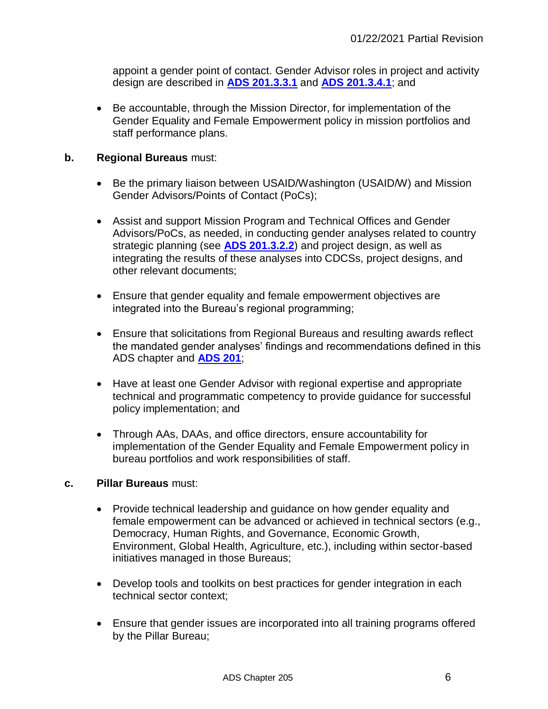appoint a gender point of contact. Gender Advisor roles in project and activity design are described in **[ADS 201.3.3.1](http://www.usaid.gov/ads/policy/200/201)** and **[ADS 201.3.4.1](http://www.usaid.gov/ads/policy/200/201)**; and

 Be accountable, through the Mission Director, for implementation of the Gender Equality and Female Empowerment policy in mission portfolios and staff performance plans.

## **b. Regional Bureaus** must:

- Be the primary liaison between USAID/Washington (USAID/W) and Mission Gender Advisors/Points of Contact (PoCs);
- Assist and support Mission Program and Technical Offices and Gender Advisors/PoCs, as needed, in conducting gender analyses related to country strategic planning (see **[ADS 201.3.2.2](http://www.usaid.gov/ads/policy/200/201)**) and project design, as well as integrating the results of these analyses into CDCSs, project designs, and other relevant documents;
- Ensure that gender equality and female empowerment objectives are integrated into the Bureau's regional programming;
- Ensure that solicitations from Regional Bureaus and resulting awards reflect the mandated gender analyses' findings and recommendations defined in this ADS chapter and **[ADS 201](http://www.usaid.gov/ads/policy/200/201)**;
- Have at least one Gender Advisor with regional expertise and appropriate technical and programmatic competency to provide guidance for successful policy implementation; and
- Through AAs, DAAs, and office directors, ensure accountability for implementation of the Gender Equality and Female Empowerment policy in bureau portfolios and work responsibilities of staff.

## **c. Pillar Bureaus** must:

- Provide technical leadership and quidance on how gender equality and female empowerment can be advanced or achieved in technical sectors (e.g., Democracy, Human Rights, and Governance, Economic Growth, Environment, Global Health, Agriculture, etc.), including within sector-based initiatives managed in those Bureaus;
- Develop tools and toolkits on best practices for gender integration in each technical sector context;
- Ensure that gender issues are incorporated into all training programs offered by the Pillar Bureau;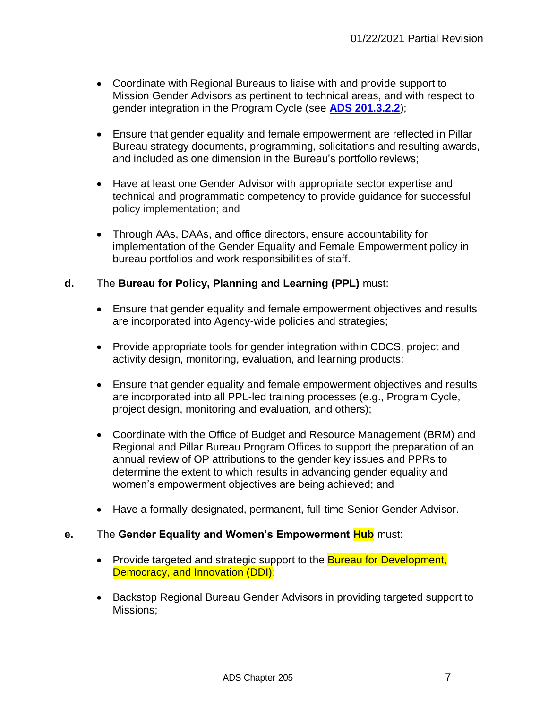- Coordinate with Regional Bureaus to liaise with and provide support to Mission Gender Advisors as pertinent to technical areas, and with respect to gender integration in the Program Cycle (see **[ADS 201.3.2.2](http://www.usaid.gov/ads/policy/200/201)**);
- Ensure that gender equality and female empowerment are reflected in Pillar Bureau strategy documents, programming, solicitations and resulting awards, and included as one dimension in the Bureau's portfolio reviews;
- Have at least one Gender Advisor with appropriate sector expertise and technical and programmatic competency to provide guidance for successful policy implementation; and
- Through AAs, DAAs, and office directors, ensure accountability for implementation of the Gender Equality and Female Empowerment policy in bureau portfolios and work responsibilities of staff.

## **d.** The **Bureau for Policy, Planning and Learning (PPL)** must:

- Ensure that gender equality and female empowerment objectives and results are incorporated into Agency-wide policies and strategies;
- Provide appropriate tools for gender integration within CDCS, project and activity design, monitoring, evaluation, and learning products;
- Ensure that gender equality and female empowerment objectives and results are incorporated into all PPL-led training processes (e.g., Program Cycle, project design, monitoring and evaluation, and others);
- Coordinate with the Office of Budget and Resource Management (BRM) and Regional and Pillar Bureau Program Offices to support the preparation of an annual review of OP attributions to the gender key issues and PPRs to determine the extent to which results in advancing gender equality and women's empowerment objectives are being achieved; and
- Have a formally-designated, permanent, full-time Senior Gender Advisor.

## **e.** The **Gender Equality and Women's Empowerment Hub** must:

- Provide targeted and strategic support to the **Bureau for Development**, Democracy, and Innovation (DDI);
- Backstop Regional Bureau Gender Advisors in providing targeted support to Missions;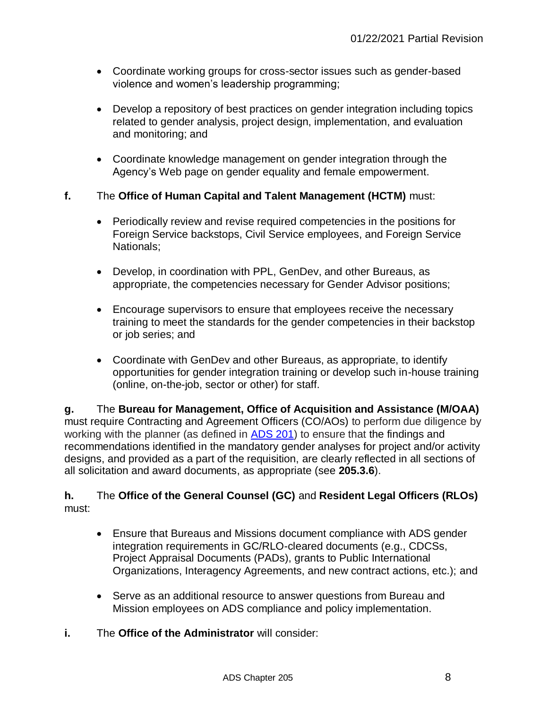- Coordinate working groups for cross-sector issues such as gender-based violence and women's leadership programming;
- Develop a repository of best practices on gender integration including topics related to gender analysis, project design, implementation, and evaluation and monitoring; and
- Coordinate knowledge management on gender integration through the Agency's Web page on gender equality and female empowerment.

## **f.** The **Office of Human Capital and Talent Management (HCTM)** must:

- Periodically review and revise required competencies in the positions for Foreign Service backstops, Civil Service employees, and Foreign Service Nationals;
- Develop, in coordination with PPL, GenDev, and other Bureaus, as appropriate, the competencies necessary for Gender Advisor positions;
- Encourage supervisors to ensure that employees receive the necessary training to meet the standards for the gender competencies in their backstop or job series; and
- Coordinate with GenDev and other Bureaus, as appropriate, to identify opportunities for gender integration training or develop such in-house training (online, on-the-job, sector or other) for staff.

**g.** The **Bureau for Management, Office of Acquisition and Assistance (M/OAA)**  must require Contracting and Agreement Officers (CO/AOs) to perform due diligence by working with the planner (as defined in [ADS 201\)](http://www.usaid.gov/ads/policy/200/201) to ensure that the findings and recommendations identified in the mandatory gender analyses for project and/or activity designs, and provided as a part of the requisition, are clearly reflected in all sections of all solicitation and award documents, as appropriate (see **205.3.6**).

## **h.** The **Office of the General Counsel (GC)** and **Resident Legal Officers (RLOs)**  must:

- Ensure that Bureaus and Missions document compliance with ADS gender integration requirements in GC/RLO-cleared documents (e.g., CDCSs, Project Appraisal Documents (PADs), grants to Public International Organizations, Interagency Agreements, and new contract actions, etc.); and
- Serve as an additional resource to answer questions from Bureau and Mission employees on ADS compliance and policy implementation.
- **i.** The **Office of the Administrator** will consider: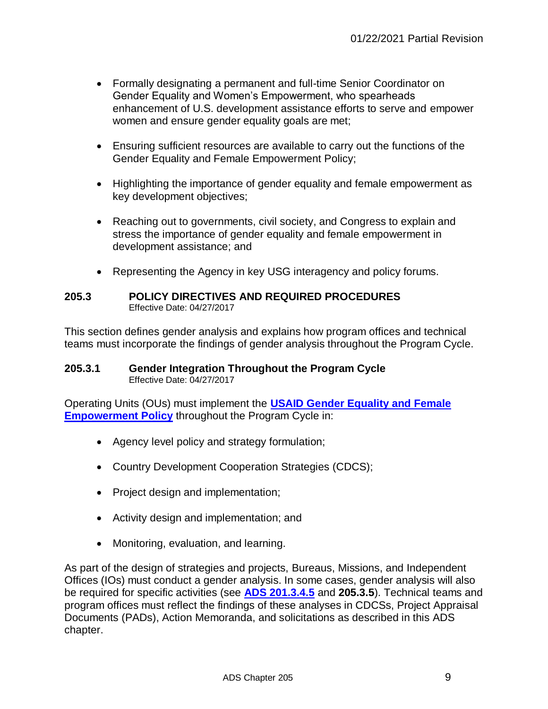- Formally designating a permanent and full-time Senior Coordinator on Gender Equality and Women's Empowerment, who spearheads enhancement of U.S. development assistance efforts to serve and empower women and ensure gender equality goals are met;
- Ensuring sufficient resources are available to carry out the functions of the Gender Equality and Female Empowerment Policy;
- Highlighting the importance of gender equality and female empowerment as key development objectives;
- Reaching out to governments, civil society, and Congress to explain and stress the importance of gender equality and female empowerment in development assistance; and
- Representing the Agency in key USG interagency and policy forums.

#### **205.3 POLICY DIRECTIVES AND REQUIRED PROCEDURES** Effective Date: 04/27/2017

This section defines gender analysis and explains how program offices and technical teams must incorporate the findings of gender analysis throughout the Program Cycle.

#### **205.3.1 Gender Integration Throughout the Program Cycle** Effective Date: 04/27/2017

Operating Units (OUs) must implement the **[USAID Gender Equality and Female](https://www.usaid.gov/sites/default/files/documents/1865/GenderEqualityPolicy_0.pdf)  [Empowerment Policy](https://www.usaid.gov/sites/default/files/documents/1865/GenderEqualityPolicy_0.pdf)** [t](http://transition.usaid.gov/our_work/policy_planning_and_learning/documents/GenderEqualityPolicy.pdf)hroughout the Program Cycle in:

- Agency level policy and strategy formulation;
- Country Development Cooperation Strategies (CDCS);
- Project design and implementation;
- Activity design and implementation; and
- Monitoring, evaluation, and learning.

As part of the design of strategies and projects, Bureaus, Missions, and Independent Offices (IOs) must conduct a gender analysis. In some cases, gender analysis will also be required for specific activities (see **[ADS 201.3.4.5](http://www.usaid.gov/ads/policy/200/201)** and **205.3.5**). Technical teams and program offices must reflect the findings of these analyses in CDCSs, Project Appraisal Documents (PADs), Action Memoranda, and solicitations as described in this ADS chapter.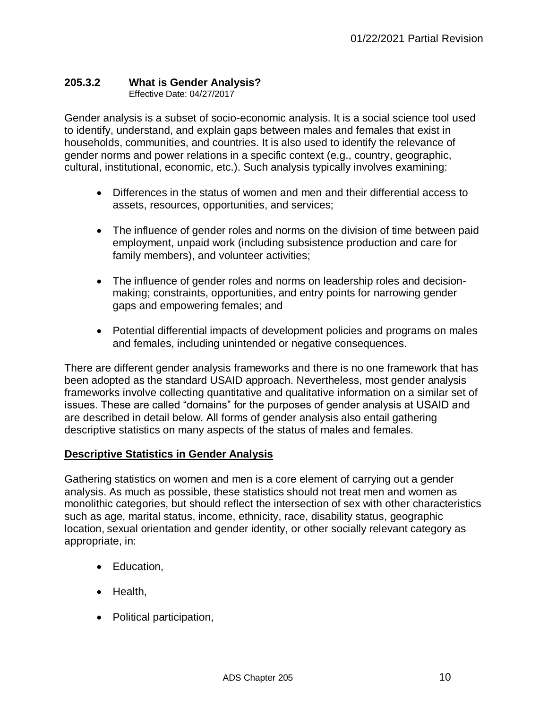# **205.3.2 What is Gender Analysis?**

Effective Date: 04/27/2017

Gender analysis is a subset of socio-economic analysis. It is a social science tool used to identify, understand, and explain gaps between males and females that exist in households, communities, and countries. It is also used to identify the relevance of gender norms and power relations in a specific context (e.g., country, geographic, cultural, institutional, economic, etc.). Such analysis typically involves examining:

- Differences in the status of women and men and their differential access to assets, resources, opportunities, and services;
- The influence of gender roles and norms on the division of time between paid employment, unpaid work (including subsistence production and care for family members), and volunteer activities;
- The influence of gender roles and norms on leadership roles and decisionmaking; constraints, opportunities, and entry points for narrowing gender gaps and empowering females; and
- Potential differential impacts of development policies and programs on males and females, including unintended or negative consequences.

There are different gender analysis frameworks and there is no one framework that has been adopted as the standard USAID approach. Nevertheless, most gender analysis frameworks involve collecting quantitative and qualitative information on a similar set of issues. These are called "domains" for the purposes of gender analysis at USAID and are described in detail below. All forms of gender analysis also entail gathering descriptive statistics on many aspects of the status of males and females.

# **Descriptive Statistics in Gender Analysis**

Gathering statistics on women and men is a core element of carrying out a gender analysis. As much as possible, these statistics should not treat men and women as monolithic categories, but should reflect the intersection of sex with other characteristics such as age, marital status, income, ethnicity, race, disability status, geographic location, sexual orientation and gender identity, or other socially relevant category as appropriate, in:

- Education,
- Health.
- Political participation,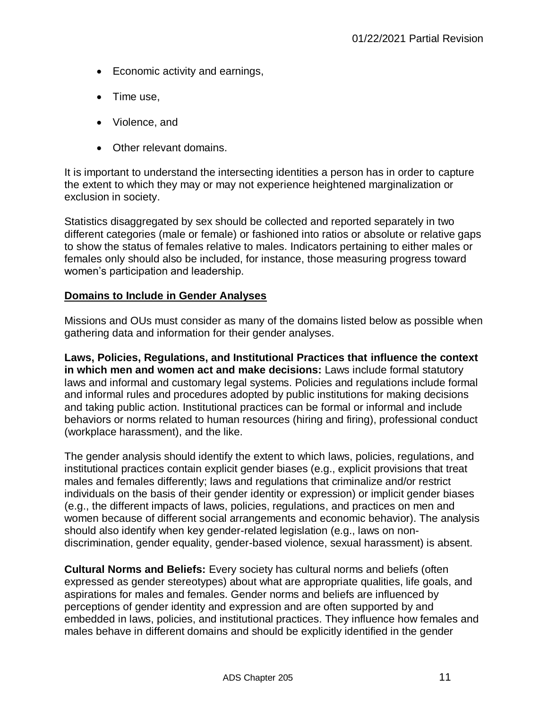- Economic activity and earnings,
- $\bullet$  Time use.
- Violence, and
- Other relevant domains.

It is important to understand the intersecting identities a person has in order to capture the extent to which they may or may not experience heightened marginalization or exclusion in society.

Statistics disaggregated by sex should be collected and reported separately in two different categories (male or female) or fashioned into ratios or absolute or relative gaps to show the status of females relative to males. Indicators pertaining to either males or females only should also be included, for instance, those measuring progress toward women's participation and leadership.

## **Domains to Include in Gender Analyses**

Missions and OUs must consider as many of the domains listed below as possible when gathering data and information for their gender analyses.

**Laws, Policies, Regulations, and Institutional Practices that influence the context in which men and women act and make decisions:** Laws include formal statutory laws and informal and customary legal systems. Policies and regulations include formal and informal rules and procedures adopted by public institutions for making decisions and taking public action. Institutional practices can be formal or informal and include behaviors or norms related to human resources (hiring and firing), professional conduct (workplace harassment), and the like.

The gender analysis should identify the extent to which laws, policies, regulations, and institutional practices contain explicit gender biases (e.g., explicit provisions that treat males and females differently; laws and regulations that criminalize and/or restrict individuals on the basis of their gender identity or expression) or implicit gender biases (e.g., the different impacts of laws, policies, regulations, and practices on men and women because of different social arrangements and economic behavior). The analysis should also identify when key gender-related legislation (e.g., laws on nondiscrimination, gender equality, gender-based violence, sexual harassment) is absent.

**Cultural Norms and Beliefs:** Every society has cultural norms and beliefs (often expressed as gender stereotypes) about what are appropriate qualities, life goals, and aspirations for males and females. Gender norms and beliefs are influenced by perceptions of gender identity and expression and are often supported by and embedded in laws, policies, and institutional practices. They influence how females and males behave in different domains and should be explicitly identified in the gender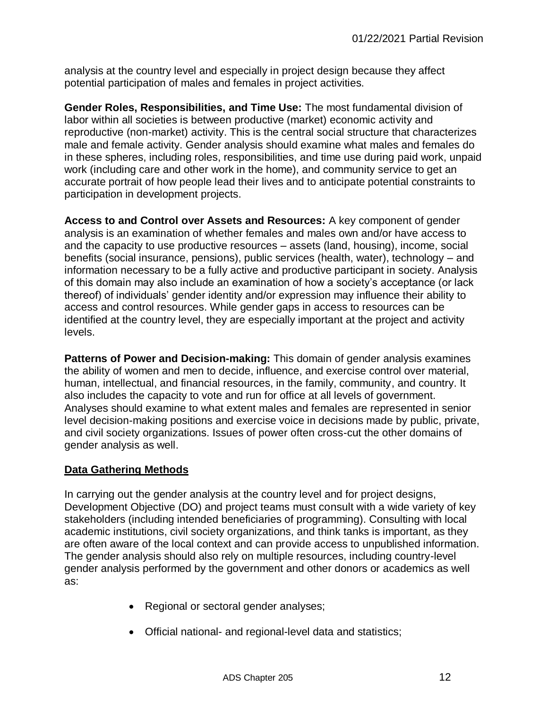analysis at the country level and especially in project design because they affect potential participation of males and females in project activities.

**Gender Roles, Responsibilities, and Time Use:** The most fundamental division of labor within all societies is between productive (market) economic activity and reproductive (non-market) activity. This is the central social structure that characterizes male and female activity. Gender analysis should examine what males and females do in these spheres, including roles, responsibilities, and time use during paid work, unpaid work (including care and other work in the home), and community service to get an accurate portrait of how people lead their lives and to anticipate potential constraints to participation in development projects.

**Access to and Control over Assets and Resources:** A key component of gender analysis is an examination of whether females and males own and/or have access to and the capacity to use productive resources – assets (land, housing), income, social benefits (social insurance, pensions), public services (health, water), technology – and information necessary to be a fully active and productive participant in society. Analysis of this domain may also include an examination of how a society's acceptance (or lack thereof) of individuals' gender identity and/or expression may influence their ability to access and control resources. While gender gaps in access to resources can be identified at the country level, they are especially important at the project and activity levels.

**Patterns of Power and Decision-making:** This domain of gender analysis examines the ability of women and men to decide, influence, and exercise control over material, human, intellectual, and financial resources, in the family, community, and country. It also includes the capacity to vote and run for office at all levels of government. Analyses should examine to what extent males and females are represented in senior level decision-making positions and exercise voice in decisions made by public, private, and civil society organizations. Issues of power often cross-cut the other domains of gender analysis as well.

# **Data Gathering Methods**

In carrying out the gender analysis at the country level and for project designs, Development Objective (DO) and project teams must consult with a wide variety of key stakeholders (including intended beneficiaries of programming). Consulting with local academic institutions, civil society organizations, and think tanks is important, as they are often aware of the local context and can provide access to unpublished information. The gender analysis should also rely on multiple resources, including country-level gender analysis performed by the government and other donors or academics as well as:

- Regional or sectoral gender analyses;
- Official national- and regional-level data and statistics;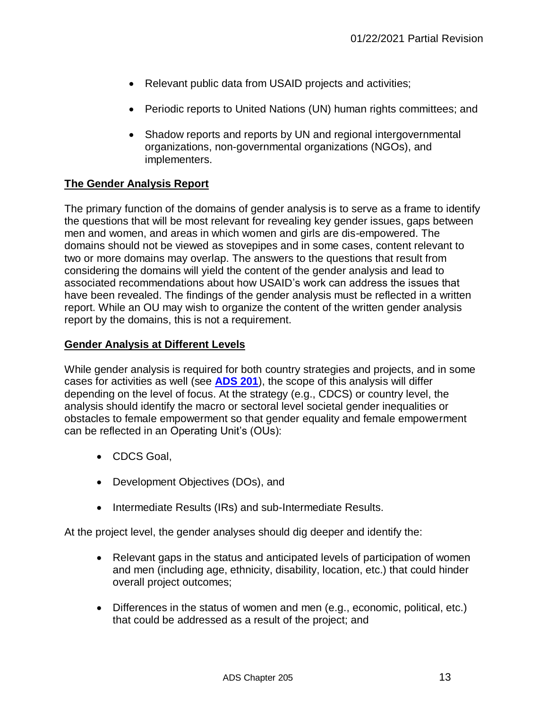- Relevant public data from USAID projects and activities;
- Periodic reports to United Nations (UN) human rights committees; and
- Shadow reports and reports by UN and regional intergovernmental organizations, non-governmental organizations (NGOs), and implementers.

# **The Gender Analysis Report**

The primary function of the domains of gender analysis is to serve as a frame to identify the questions that will be most relevant for revealing key gender issues, gaps between men and women, and areas in which women and girls are dis-empowered. The domains should not be viewed as stovepipes and in some cases, content relevant to two or more domains may overlap. The answers to the questions that result from considering the domains will yield the content of the gender analysis and lead to associated recommendations about how USAID's work can address the issues that have been revealed. The findings of the gender analysis must be reflected in a written report. While an OU may wish to organize the content of the written gender analysis report by the domains, this is not a requirement.

## **Gender Analysis at Different Levels**

While gender analysis is required for both country strategies and projects, and in some cases for activities as well (see **[ADS 201](http://www.usaid.gov/ads/policy/200/201)**), the scope of this analysis will differ depending on the level of focus. At the strategy (e.g., CDCS) or country level, the analysis should identify the macro or sectoral level societal gender inequalities or obstacles to female empowerment so that gender equality and female empowerment can be reflected in an Operating Unit's (OUs):

- CDCS Goal,
- Development Objectives (DOs), and
- Intermediate Results (IRs) and sub-Intermediate Results.

At the project level, the gender analyses should dig deeper and identify the:

- Relevant gaps in the status and anticipated levels of participation of women and men (including age, ethnicity, disability, location, etc.) that could hinder overall project outcomes;
- Differences in the status of women and men (e.g., economic, political, etc.) that could be addressed as a result of the project; and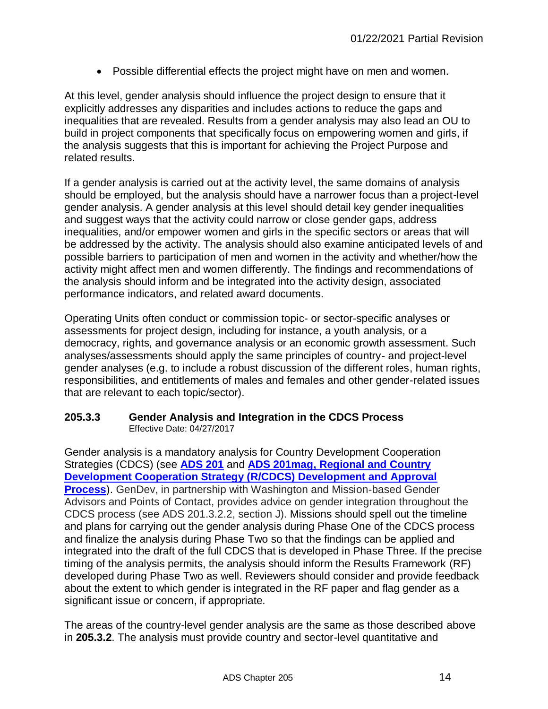Possible differential effects the project might have on men and women.

At this level, gender analysis should influence the project design to ensure that it explicitly addresses any disparities and includes actions to reduce the gaps and inequalities that are revealed. Results from a gender analysis may also lead an OU to build in project components that specifically focus on empowering women and girls, if the analysis suggests that this is important for achieving the Project Purpose and related results.

If a gender analysis is carried out at the activity level, the same domains of analysis should be employed, but the analysis should have a narrower focus than a project-level gender analysis. A gender analysis at this level should detail key gender inequalities and suggest ways that the activity could narrow or close gender gaps, address inequalities, and/or empower women and girls in the specific sectors or areas that will be addressed by the activity. The analysis should also examine anticipated levels of and possible barriers to participation of men and women in the activity and whether/how the activity might affect men and women differently. The findings and recommendations of the analysis should inform and be integrated into the activity design, associated performance indicators, and related award documents.

Operating Units often conduct or commission topic- or sector-specific analyses or assessments for project design, including for instance, a youth analysis, or a democracy, rights, and governance analysis or an economic growth assessment. Such analyses/assessments should apply the same principles of country- and project-level gender analyses (e.g. to include a robust discussion of the different roles, human rights, responsibilities, and entitlements of males and females and other gender-related issues that are relevant to each topic/sector).

#### **205.3.3 Gender Analysis and Integration in the CDCS Process** Effective Date: 04/27/2017

Gender analysis is a mandatory analysis for Country Development Cooperation Strategies (CDCS) (see **[ADS 201](http://www.usaid.gov/ads/policy/200/201)** and **ADS 201mag, [Regional and Country](http://www.usaid.gov/ads/policy/200/201mag)  [Development Cooperation Strategy \(R/CDCS\) Development and Approval](http://www.usaid.gov/ads/policy/200/201mag)  [Process](http://www.usaid.gov/ads/policy/200/201mag)**). GenDev, in partnership with Washington and Mission-based Gender Advisors and Points of Contact, provides advice on gender integration throughout the CDCS process (see ADS 201.3.2.2, section J). Missions should spell out the timeline and plans for carrying out the gender analysis during Phase One of the CDCS process and finalize the analysis during Phase Two so that the findings can be applied and integrated into the draft of the full CDCS that is developed in Phase Three. If the precise timing of the analysis permits, the analysis should inform the Results Framework (RF) developed during Phase Two as well. Reviewers should consider and provide feedback about the extent to which gender is integrated in the RF paper and flag gender as a significant issue or concern, if appropriate.

The areas of the country-level gender analysis are the same as those described above in **205.3.2**. The analysis must provide country and sector-level quantitative and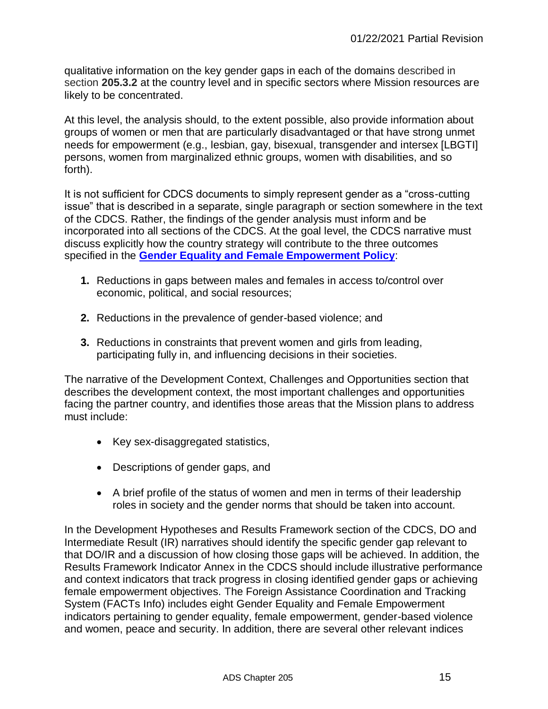qualitative information on the key gender gaps in each of the domains described in section **205.3.2** at the country level and in specific sectors where Mission resources are likely to be concentrated.

At this level, the analysis should, to the extent possible, also provide information about groups of women or men that are particularly disadvantaged or that have strong unmet needs for empowerment (e.g., lesbian, gay, bisexual, transgender and intersex [LBGTI] persons, women from marginalized ethnic groups, women with disabilities, and so forth).

It is not sufficient for CDCS documents to simply represent gender as a "cross-cutting issue" that is described in a separate, single paragraph or section somewhere in the text of the CDCS. Rather, the findings of the gender analysis must inform and be incorporated into all sections of the CDCS. At the goal level, the CDCS narrative must discuss explicitly how the country strategy will contribute to the three outcomes specified in the **[Gender Equality and Female Empowerment Policy](https://www.usaid.gov/sites/default/files/documents/1865/GenderEqualityPolicy_0.pdf)**:

- **1.** Reductions in gaps between males and females in access to/control over economic, political, and social resources;
- **2.** Reductions in the prevalence of gender-based violence; and
- **3.** Reductions in constraints that prevent women and girls from leading, participating fully in, and influencing decisions in their societies.

The narrative of the Development Context, Challenges and Opportunities section that describes the development context, the most important challenges and opportunities facing the partner country, and identifies those areas that the Mission plans to address must include:

- Key sex-disaggregated statistics,
- Descriptions of gender gaps, and
- A brief profile of the status of women and men in terms of their leadership roles in society and the gender norms that should be taken into account.

In the Development Hypotheses and Results Framework section of the CDCS, DO and Intermediate Result (IR) narratives should identify the specific gender gap relevant to that DO/IR and a discussion of how closing those gaps will be achieved. In addition, the Results Framework Indicator Annex in the CDCS should include illustrative performance and context indicators that track progress in closing identified gender gaps or achieving female empowerment objectives. The Foreign Assistance Coordination and Tracking System (FACTs Info) includes eight Gender Equality and Female Empowerment indicators pertaining to gender equality, female empowerment, gender-based violence and women, peace and security. In addition, there are several other relevant indices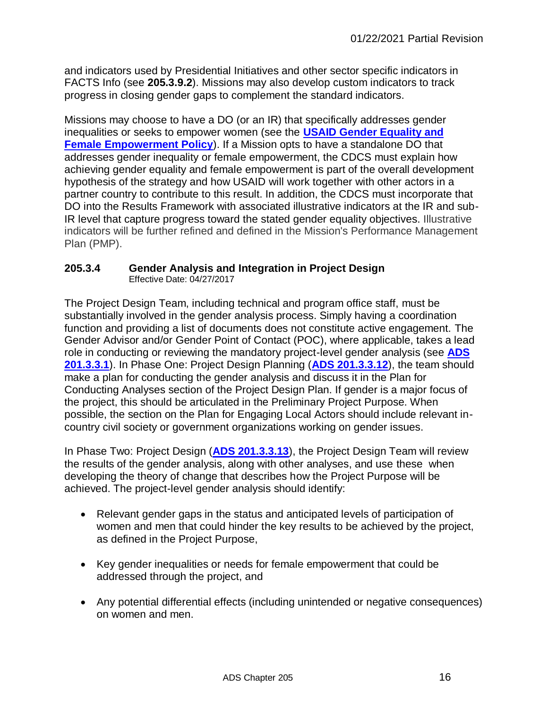and indicators used by Presidential Initiatives and other sector specific indicators in FACTS Info (see **205.3.9.2**). Missions may also develop custom indicators to track progress in closing gender gaps to complement the standard indicators.

Missions may choose to have a DO (or an IR) that specifically addresses gender inequalities or seeks to empower women (see the **[USAID Gender Equality and](https://www.usaid.gov/sites/default/files/documents/1865/GenderEqualityPolicy_0.pdf)  [Female Empowerment Policy](https://www.usaid.gov/sites/default/files/documents/1865/GenderEqualityPolicy_0.pdf)**). If a Mission opts to have a standalone DO that addresses gender inequality or female empowerment, the CDCS must explain how achieving gender equality and female empowerment is part of the overall development hypothesis of the strategy and how USAID will work together with other actors in a partner country to contribute to this result. In addition, the CDCS must incorporate that DO into the Results Framework with associated illustrative indicators at the IR and sub-IR level that capture progress toward the stated gender equality objectives. Illustrative indicators will be further refined and defined in the Mission's Performance Management Plan (PMP).

#### **205.3.4 Gender Analysis and Integration in Project Design** Effective Date: 04/27/2017

The Project Design Team, including technical and program office staff, must be substantially involved in the gender analysis process. Simply having a coordination function and providing a list of documents does not constitute active engagement. The Gender Advisor and/or Gender Point of Contact (POC), where applicable, takes a lead role in conducting or reviewing the mandatory project-level gender analysis (see **[ADS](http://www.usaid.gov/ads/policy/200/201)  [201.3.3.1](http://www.usaid.gov/ads/policy/200/201)**). In Phase One: Project Design Planning (**[ADS 201.3.3.12](http://www.usaid.gov/ads/policy/200/201)**), the team should make a plan for conducting the gender analysis and discuss it in the Plan for Conducting Analyses section of the Project Design Plan. If gender is a major focus of the project, this should be articulated in the Preliminary Project Purpose. When possible, the section on the Plan for Engaging Local Actors should include relevant incountry civil society or government organizations working on gender issues.

In Phase Two: Project Design (**[ADS 201.3.3.13](http://www.usaid.gov/ads/policy/200/201)**), the Project Design Team will review the results of the gender analysis, along with other analyses, and use these when developing the theory of change that describes how the Project Purpose will be achieved. The project-level gender analysis should identify:

- Relevant gender gaps in the status and anticipated levels of participation of women and men that could hinder the key results to be achieved by the project, as defined in the Project Purpose,
- Key gender inequalities or needs for female empowerment that could be addressed through the project, and
- Any potential differential effects (including unintended or negative consequences) on women and men.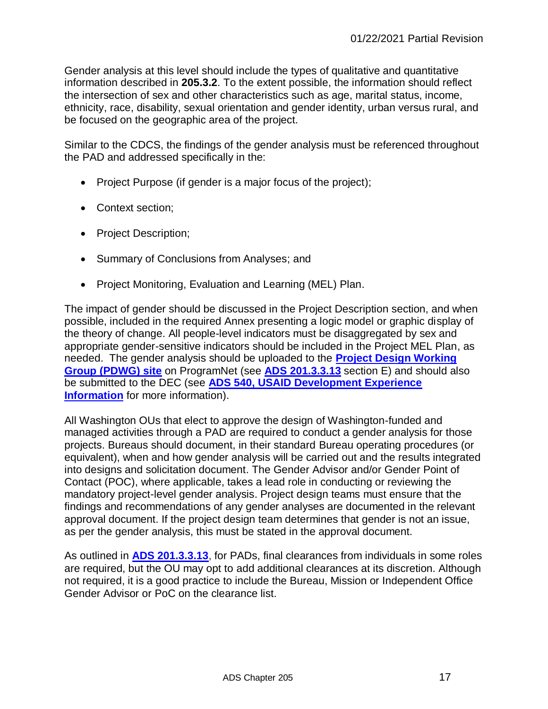Gender analysis at this level should include the types of qualitative and quantitative information described in **205.3.2**. To the extent possible, the information should reflect the intersection of sex and other characteristics such as age, marital status, income, ethnicity, race, disability, sexual orientation and gender identity, urban versus rural, and be focused on the geographic area of the project.

Similar to the CDCS, the findings of the gender analysis must be referenced throughout the PAD and addressed specifically in the:

- Project Purpose (if gender is a major focus of the project);
- Context section:
- Project Description;
- Summary of Conclusions from Analyses; and
- Project Monitoring, Evaluation and Learning (MEL) Plan.

The impact of gender should be discussed in the Project Description section, and when possible, included in the required Annex presenting a logic model or graphic display of the theory of change. All people-level indicators must be disaggregated by sex and appropriate gender-sensitive indicators should be included in the Project MEL Plan, as needed. The gender analysis should be uploaded to the **[Project Design Working](https://programnet.usaid.gov/working-groups/project-design-working-group)  [Group \(PDWG\) site](https://programnet.usaid.gov/working-groups/project-design-working-group)** on ProgramNet (see **[ADS 201.3.3.13](http://www.usaid.gov/ads/policy/200/201)** section E) and should also be submitted to the DEC (see **[ADS 540, USAID Development Experience](http://www.usaid.gov/ads/policy/500/540) [Information](http://www.usaid.gov/ads/policy/500/540)** for more information).

All Washington OUs that elect to approve the design of Washington-funded and managed activities through a PAD are required to conduct a gender analysis for those projects. Bureaus should document, in their standard Bureau operating procedures (or equivalent), when and how gender analysis will be carried out and the results integrated into designs and solicitation document. The Gender Advisor and/or Gender Point of Contact (POC), where applicable, takes a lead role in conducting or reviewing the mandatory project-level gender analysis. Project design teams must ensure that the findings and recommendations of any gender analyses are documented in the relevant approval document. If the project design team determines that gender is not an issue, as per the gender analysis, this must be stated in the approval document.

As outlined in **[ADS 201.3.3.13](http://www.usaid.gov/ads/policy/200/201)**, for PADs, final clearances from individuals in some roles are required, but the OU may opt to add additional clearances at its discretion. Although not required, it is a good practice to include the Bureau, Mission or Independent Office Gender Advisor or PoC on the clearance list.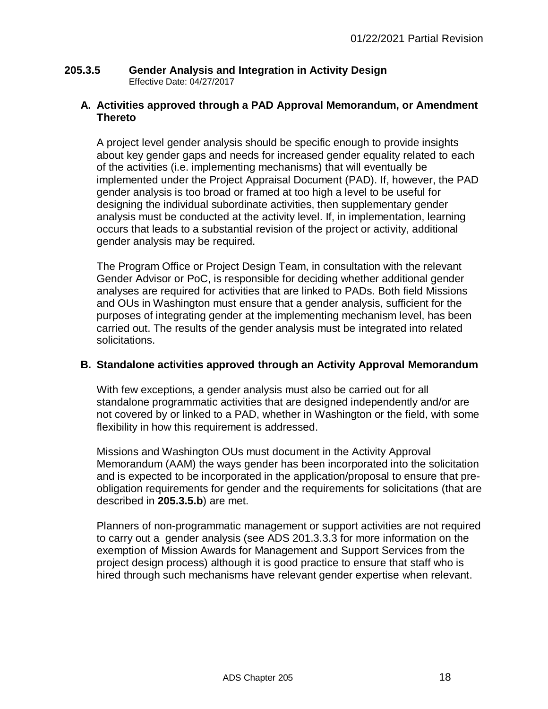## **205.3.5 Gender Analysis and Integration in Activity Design** Effective Date: 04/27/2017

## **A. Activities approved through a PAD Approval Memorandum, or Amendment Thereto**

A project level gender analysis should be specific enough to provide insights about key gender gaps and needs for increased gender equality related to each of the activities (i.e. implementing mechanisms) that will eventually be implemented under the Project Appraisal Document (PAD). If, however, the PAD gender analysis is too broad or framed at too high a level to be useful for designing the individual subordinate activities, then supplementary gender analysis must be conducted at the activity level. If, in implementation, learning occurs that leads to a substantial revision of the project or activity, additional gender analysis may be required.

The Program Office or Project Design Team, in consultation with the relevant Gender Advisor or PoC, is responsible for deciding whether additional gender analyses are required for activities that are linked to PADs. Both field Missions and OUs in Washington must ensure that a gender analysis, sufficient for the purposes of integrating gender at the implementing mechanism level, has been carried out. The results of the gender analysis must be integrated into related solicitations.

# **B. Standalone activities approved through an Activity Approval Memorandum**

With few exceptions, a gender analysis must also be carried out for all standalone programmatic activities that are designed independently and/or are not covered by or linked to a PAD, whether in Washington or the field, with some flexibility in how this requirement is addressed.

Missions and Washington OUs must document in the Activity Approval Memorandum (AAM) the ways gender has been incorporated into the solicitation and is expected to be incorporated in the application/proposal to ensure that preobligation requirements for gender and the requirements for solicitations (that are described in **205.3.5.b**) are met.

Planners of non-programmatic management or support activities are not required to carry out a gender analysis (see ADS 201.3.3.3 for more information on the exemption of Mission Awards for Management and Support Services from the project design process) although it is good practice to ensure that staff who is hired through such mechanisms have relevant gender expertise when relevant.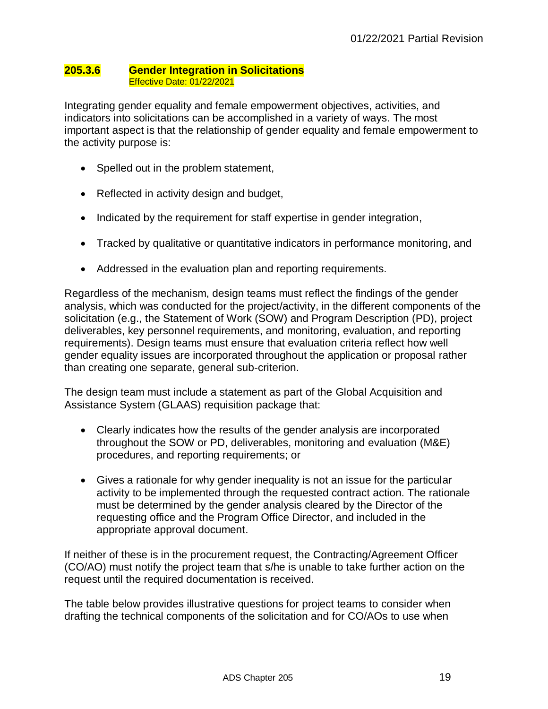#### **205.3.6 Gender Integration in Solicitations** Effective Date: 01/22/2021

Integrating gender equality and female empowerment objectives, activities, and indicators into solicitations can be accomplished in a variety of ways. The most important aspect is that the relationship of gender equality and female empowerment to the activity purpose is:

- Spelled out in the problem statement,
- Reflected in activity design and budget,
- Indicated by the requirement for staff expertise in gender integration,
- Tracked by qualitative or quantitative indicators in performance monitoring, and
- Addressed in the evaluation plan and reporting requirements.

Regardless of the mechanism, design teams must reflect the findings of the gender analysis, which was conducted for the project/activity, in the different components of the solicitation (e.g., the Statement of Work (SOW) and Program Description (PD), project deliverables, key personnel requirements, and monitoring, evaluation, and reporting requirements). Design teams must ensure that evaluation criteria reflect how well gender equality issues are incorporated throughout the application or proposal rather than creating one separate, general sub-criterion.

The design team must include a statement as part of the Global Acquisition and Assistance System (GLAAS) requisition package that:

- Clearly indicates how the results of the gender analysis are incorporated throughout the SOW or PD, deliverables, monitoring and evaluation (M&E) procedures, and reporting requirements; or
- Gives a rationale for why gender inequality is not an issue for the particular activity to be implemented through the requested contract action. The rationale must be determined by the gender analysis cleared by the Director of the requesting office and the Program Office Director, and included in the appropriate approval document.

If neither of these is in the procurement request, the Contracting/Agreement Officer (CO/AO) must notify the project team that s/he is unable to take further action on the request until the required documentation is received.

The table below provides illustrative questions for project teams to consider when drafting the technical components of the solicitation and for CO/AOs to use when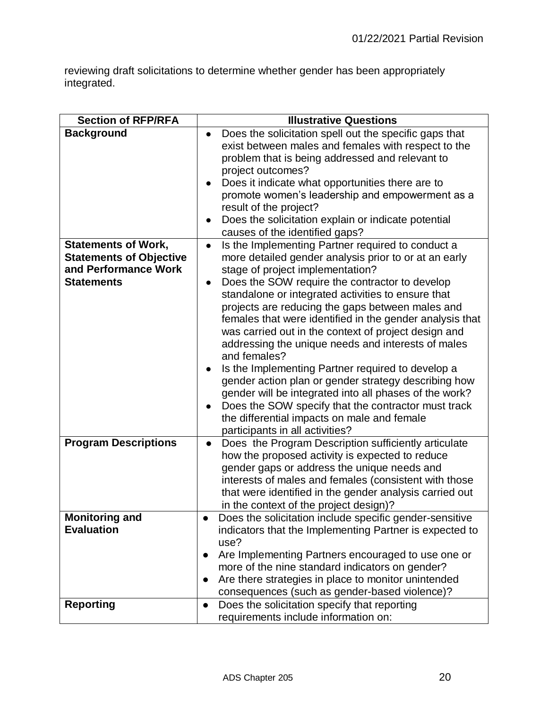reviewing draft solicitations to determine whether gender has been appropriately integrated.

| <b>Section of RFP/RFA</b>                                                                                 | <b>Illustrative Questions</b>                                                                                                                                                                                                                                                                                                                                                                                                                                                                                                                                                                                                                                                                                                                                                                                                     |
|-----------------------------------------------------------------------------------------------------------|-----------------------------------------------------------------------------------------------------------------------------------------------------------------------------------------------------------------------------------------------------------------------------------------------------------------------------------------------------------------------------------------------------------------------------------------------------------------------------------------------------------------------------------------------------------------------------------------------------------------------------------------------------------------------------------------------------------------------------------------------------------------------------------------------------------------------------------|
| <b>Background</b>                                                                                         | Does the solicitation spell out the specific gaps that<br>exist between males and females with respect to the<br>problem that is being addressed and relevant to<br>project outcomes?<br>Does it indicate what opportunities there are to<br>promote women's leadership and empowerment as a<br>result of the project?<br>Does the solicitation explain or indicate potential<br>causes of the identified gaps?                                                                                                                                                                                                                                                                                                                                                                                                                   |
| <b>Statements of Work,</b><br><b>Statements of Objective</b><br>and Performance Work<br><b>Statements</b> | Is the Implementing Partner required to conduct a<br>$\bullet$<br>more detailed gender analysis prior to or at an early<br>stage of project implementation?<br>Does the SOW require the contractor to develop<br>standalone or integrated activities to ensure that<br>projects are reducing the gaps between males and<br>females that were identified in the gender analysis that<br>was carried out in the context of project design and<br>addressing the unique needs and interests of males<br>and females?<br>Is the Implementing Partner required to develop a<br>gender action plan or gender strategy describing how<br>gender will be integrated into all phases of the work?<br>Does the SOW specify that the contractor must track<br>the differential impacts on male and female<br>participants in all activities? |
| <b>Program Descriptions</b>                                                                               | Does the Program Description sufficiently articulate<br>$\bullet$<br>how the proposed activity is expected to reduce<br>gender gaps or address the unique needs and<br>interests of males and females (consistent with those<br>that were identified in the gender analysis carried out<br>in the context of the project design)?                                                                                                                                                                                                                                                                                                                                                                                                                                                                                                 |
| <b>Monitoring and</b><br><b>Evaluation</b>                                                                | Does the solicitation include specific gender-sensitive<br>indicators that the Implementing Partner is expected to<br>use?<br>Are Implementing Partners encouraged to use one or<br>$\bullet$<br>more of the nine standard indicators on gender?<br>Are there strategies in place to monitor unintended<br>$\bullet$<br>consequences (such as gender-based violence)?                                                                                                                                                                                                                                                                                                                                                                                                                                                             |
| <b>Reporting</b>                                                                                          | Does the solicitation specify that reporting<br>$\bullet$<br>requirements include information on:                                                                                                                                                                                                                                                                                                                                                                                                                                                                                                                                                                                                                                                                                                                                 |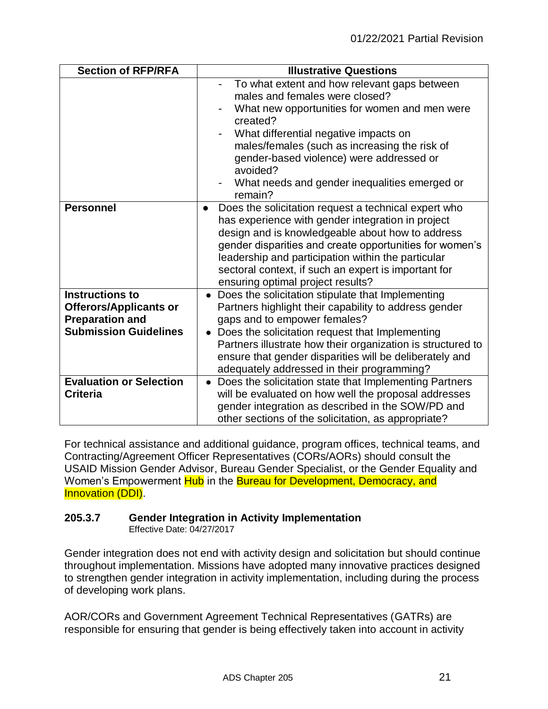| <b>Section of RFP/RFA</b>                                                                                         | <b>Illustrative Questions</b>                                                                                                                                                                                                                                                                                                                                                            |
|-------------------------------------------------------------------------------------------------------------------|------------------------------------------------------------------------------------------------------------------------------------------------------------------------------------------------------------------------------------------------------------------------------------------------------------------------------------------------------------------------------------------|
|                                                                                                                   | To what extent and how relevant gaps between<br>males and females were closed?<br>What new opportunities for women and men were<br>created?                                                                                                                                                                                                                                              |
|                                                                                                                   | What differential negative impacts on<br>males/females (such as increasing the risk of<br>gender-based violence) were addressed or<br>avoided?<br>What needs and gender inequalities emerged or<br>remain?                                                                                                                                                                               |
| <b>Personnel</b>                                                                                                  | Does the solicitation request a technical expert who<br>$\bullet$<br>has experience with gender integration in project<br>design and is knowledgeable about how to address<br>gender disparities and create opportunities for women's<br>leadership and participation within the particular<br>sectoral context, if such an expert is important for<br>ensuring optimal project results? |
| <b>Instructions to</b><br><b>Offerors/Applicants or</b><br><b>Preparation and</b><br><b>Submission Guidelines</b> | • Does the solicitation stipulate that Implementing<br>Partners highlight their capability to address gender<br>gaps and to empower females?<br>Does the solicitation request that Implementing<br>Partners illustrate how their organization is structured to<br>ensure that gender disparities will be deliberately and<br>adequately addressed in their programming?                  |
| <b>Evaluation or Selection</b><br><b>Criteria</b>                                                                 | • Does the solicitation state that Implementing Partners<br>will be evaluated on how well the proposal addresses<br>gender integration as described in the SOW/PD and<br>other sections of the solicitation, as appropriate?                                                                                                                                                             |

For technical assistance and additional guidance, program offices, technical teams, and Contracting/Agreement Officer Representatives (CORs/AORs) should consult the USAID Mission Gender Advisor, Bureau Gender Specialist, or the Gender Equality and Women's Empowerment Hub in the Bureau for Development, Democracy, and Innovation (DDI).

## **205.3.7 Gender Integration in Activity Implementation**

Effective Date: 04/27/2017

Gender integration does not end with activity design and solicitation but should continue throughout implementation. Missions have adopted many innovative practices designed to strengthen gender integration in activity implementation, including during the process of developing work plans.

AOR/CORs and Government Agreement Technical Representatives (GATRs) are responsible for ensuring that gender is being effectively taken into account in activity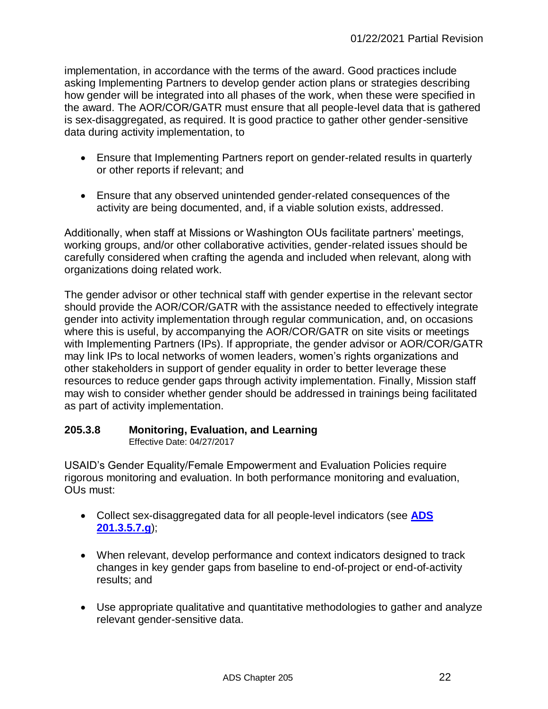implementation, in accordance with the terms of the award. Good practices include asking Implementing Partners to develop gender action plans or strategies describing how gender will be integrated into all phases of the work, when these were specified in the award. The AOR/COR/GATR must ensure that all people-level data that is gathered is sex-disaggregated, as required. It is good practice to gather other gender-sensitive data during activity implementation, to

- Ensure that Implementing Partners report on gender-related results in quarterly or other reports if relevant; and
- Ensure that any observed unintended gender-related consequences of the activity are being documented, and, if a viable solution exists, addressed.

Additionally, when staff at Missions or Washington OUs facilitate partners' meetings, working groups, and/or other collaborative activities, gender-related issues should be carefully considered when crafting the agenda and included when relevant, along with organizations doing related work.

The gender advisor or other technical staff with gender expertise in the relevant sector should provide the AOR/COR/GATR with the assistance needed to effectively integrate gender into activity implementation through regular communication, and, on occasions where this is useful, by accompanying the AOR/COR/GATR on site visits or meetings with Implementing Partners (IPs). If appropriate, the gender advisor or AOR/COR/GATR may link IPs to local networks of women leaders, women's rights organizations and other stakeholders in support of gender equality in order to better leverage these resources to reduce gender gaps through activity implementation. Finally, Mission staff may wish to consider whether gender should be addressed in trainings being facilitated as part of activity implementation.

# **205.3.8 Monitoring, Evaluation, and Learning**

Effective Date: 04/27/2017

USAID's Gender Equality/Female Empowerment and Evaluation Policies require rigorous monitoring and evaluation. In both performance monitoring and evaluation, OUs must:

- Collect sex-disaggregated data for all people-level indicators (see **[ADS](http://www.usaid.gov/ads/policy/200/201)  [201.3.5.7.g](http://www.usaid.gov/ads/policy/200/201)**);
- When relevant, develop performance and context indicators designed to track changes in key gender gaps from baseline to end-of-project or end-of-activity results; and
- Use appropriate qualitative and quantitative methodologies to gather and analyze relevant gender-sensitive data.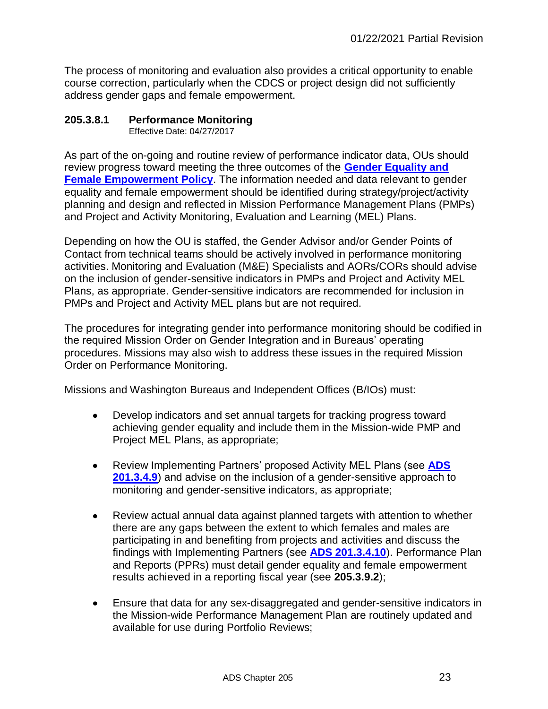The process of monitoring and evaluation also provides a critical opportunity to enable course correction, particularly when the CDCS or project design did not sufficiently address gender gaps and female empowerment.

## **205.3.8.1 Performance Monitoring**

Effective Date: 04/27/2017

As part of the on-going and routine review of performance indicator data, OUs should review progress toward meeting the three outcomes of the **[Gender Equality and](https://www.usaid.gov/sites/default/files/documents/1865/GenderEqualityPolicy_0.pdf)  [Female Empowerment Policy](https://www.usaid.gov/sites/default/files/documents/1865/GenderEqualityPolicy_0.pdf).** The information needed and data relevant to gender equality and female empowerment should be identified during strategy/project/activity planning and design and reflected in Mission Performance Management Plans (PMPs) and Project and Activity Monitoring, Evaluation and Learning (MEL) Plans.

Depending on how the OU is staffed, the Gender Advisor and/or Gender Points of Contact from technical teams should be actively involved in performance monitoring activities. Monitoring and Evaluation (M&E) Specialists and AORs/CORs should advise on the inclusion of gender-sensitive indicators in PMPs and Project and Activity MEL Plans, as appropriate. Gender-sensitive indicators are recommended for inclusion in PMPs and Project and Activity MEL plans but are not required.

The procedures for integrating gender into performance monitoring should be codified in the required Mission Order on Gender Integration and in Bureaus' operating procedures. Missions may also wish to address these issues in the required Mission Order on Performance Monitoring.

Missions and Washington Bureaus and Independent Offices (B/IOs) must:

- Develop indicators and set annual targets for tracking progress toward achieving gender equality and include them in the Mission-wide PMP and Project MEL Plans, as appropriate;
- Review Implementing Partners' proposed Activity MEL Plans (see **[ADS](http://www.usaid.gov/ads/policy/200/201)  [201.3.4.9](http://www.usaid.gov/ads/policy/200/201)**) and advise on the inclusion of a gender-sensitive approach to monitoring and gender-sensitive indicators, as appropriate;
- Review actual annual data against planned targets with attention to whether there are any gaps between the extent to which females and males are participating in and benefiting from projects and activities and discuss the findings with Implementing Partners (see **[ADS 201.3.4.10](http://www.usaid.gov/ads/policy/200/201)**). Performance Plan and Reports (PPRs) must detail gender equality and female empowerment results achieved in a reporting fiscal year (see **205.3.9.2**);
- Ensure that data for any sex-disaggregated and gender-sensitive indicators in the Mission-wide Performance Management Plan are routinely updated and available for use during Portfolio Reviews;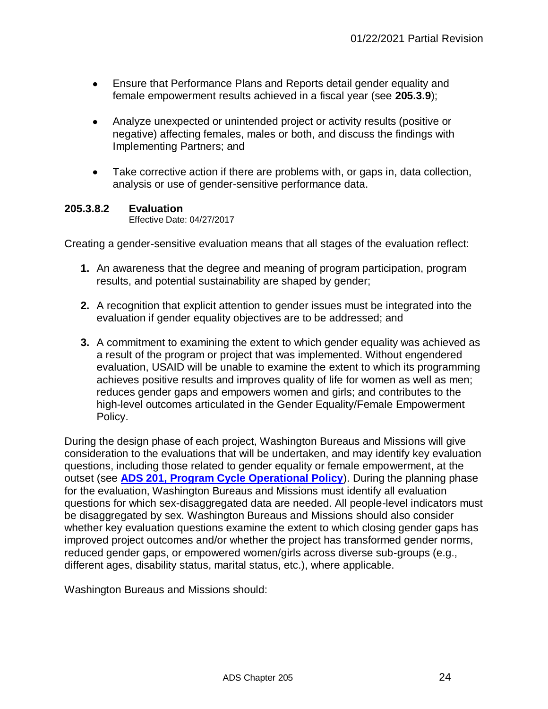- Ensure that Performance Plans and Reports detail gender equality and female empowerment results achieved in a fiscal year (see **205.3.9**);
- Analyze unexpected or unintended project or activity results (positive or negative) affecting females, males or both, and discuss the findings with Implementing Partners; and
- Take corrective action if there are problems with, or gaps in, data collection, analysis or use of gender-sensitive performance data.

#### **205.3.8.2 Evaluation**

Effective Date: 04/27/2017

Creating a gender-sensitive evaluation means that all stages of the evaluation reflect:

- **1.** An awareness that the degree and meaning of program participation, program results, and potential sustainability are shaped by gender;
- **2.** A recognition that explicit attention to gender issues must be integrated into the evaluation if gender equality objectives are to be addressed; and
- **3.** A commitment to examining the extent to which gender equality was achieved as a result of the program or project that was implemented. Without engendered evaluation, USAID will be unable to examine the extent to which its programming achieves positive results and improves quality of life for women as well as men; reduces gender gaps and empowers women and girls; and contributes to the high-level outcomes articulated in the Gender Equality/Female Empowerment Policy.

During the design phase of each project, Washington Bureaus and Missions will give consideration to the evaluations that will be undertaken, and may identify key evaluation questions, including those related to gender equality or female empowerment, at the outset (see **[ADS 201, Program Cycle Operational Policy](http://www.usaid.gov/ads/policy/200/201)**). During the planning phase for the evaluation, Washington Bureaus and Missions must identify all evaluation questions for which sex-disaggregated data are needed. All people-level indicators must be disaggregated by sex. Washington Bureaus and Missions should also consider whether key evaluation questions examine the extent to which closing gender gaps has improved project outcomes and/or whether the project has transformed gender norms, reduced gender gaps, or empowered women/girls across diverse sub-groups (e.g., different ages, disability status, marital status, etc.), where applicable.

Washington Bureaus and Missions should: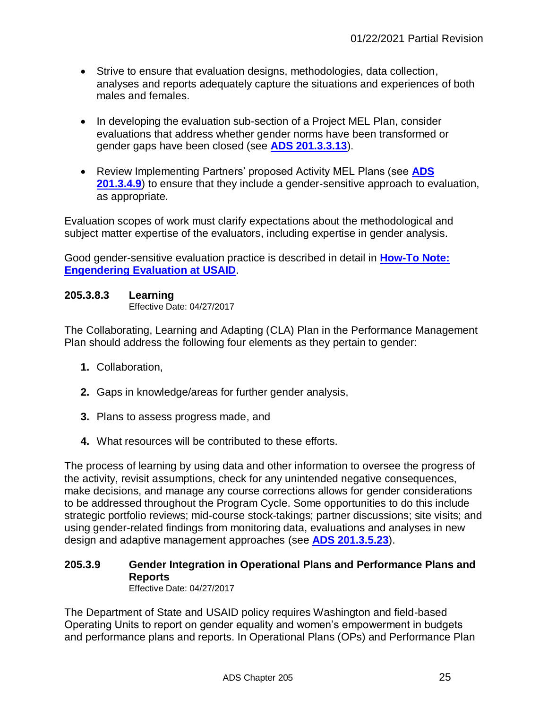- Strive to ensure that evaluation designs, methodologies, data collection, analyses and reports adequately capture the situations and experiences of both males and females.
- In developing the evaluation sub-section of a Project MEL Plan, consider evaluations that address whether gender norms have been transformed or gender gaps have been closed (see **[ADS 201.3.3.13](http://www.usaid.gov/ads/policy/200/201)**).
- Review Implementing Partners' proposed Activity MEL Plans (see **[ADS](http://www.usaid.gov/ads/policy/200/201)  [201.3.4.9](http://www.usaid.gov/ads/policy/200/201)**) to ensure that they include a gender-sensitive approach to evaluation, as appropriate.

Evaluation scopes of work must clarify expectations about the methodological and subject matter expertise of the evaluators, including expertise in gender analysis.

Good gender-sensitive evaluation practice is described in detail in **[How-To Note:](https://programnet.usaid.gov/library/how-note-engendering-evaluation-usaid)  [Engendering Evaluation at USAID](https://programnet.usaid.gov/library/how-note-engendering-evaluation-usaid)**.

## **205.3.8.3 Learning**

Effective Date: 04/27/2017

The Collaborating, Learning and Adapting (CLA) Plan in the Performance Management Plan should address the following four elements as they pertain to gender:

- **1.** Collaboration,
- **2.** Gaps in knowledge/areas for further gender analysis,
- **3.** Plans to assess progress made, and
- **4.** What resources will be contributed to these efforts.

The process of learning by using data and other information to oversee the progress of the activity, revisit assumptions, check for any unintended negative consequences, make decisions, and manage any course corrections allows for gender considerations to be addressed throughout the Program Cycle. Some opportunities to do this include strategic portfolio reviews; mid-course stock-takings; partner discussions; site visits; and using gender-related findings from monitoring data, evaluations and analyses in new design and adaptive management approaches (see **[ADS 201.3.5.23](http://www.usaid.gov/ads/policy/200/201)**).

#### **205.3.9 Gender Integration in Operational Plans and Performance Plans and Reports**  Effective Date: 04/27/2017

The Department of State and USAID policy requires Washington and field-based Operating Units to report on gender equality and women's empowerment in budgets and performance plans and reports. In Operational Plans (OPs) and Performance Plan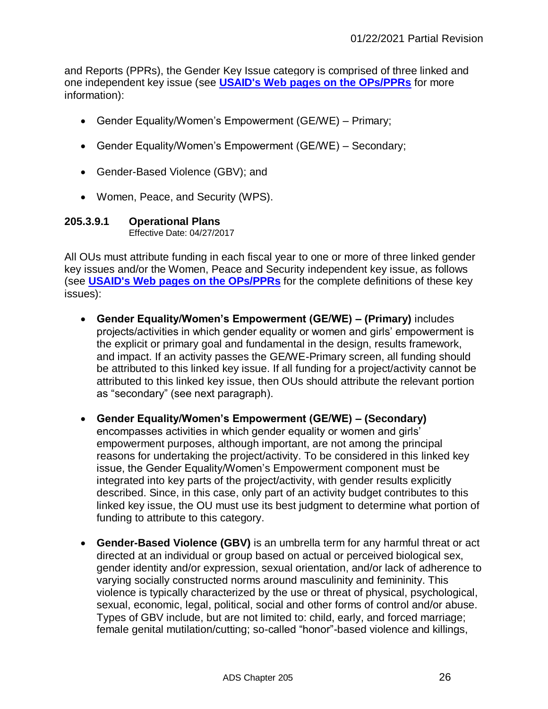and Reports (PPRs), the Gender Key Issue category is comprised of three linked and one independent key issue (see **[USAID's Web pages on the OPs/PPRs](https://pages.usaid.gov/F/what-we-do)** for more information):

- Gender Equality/Women's Empowerment (GE/WE) Primary;
- Gender Equality/Women's Empowerment (GE/WE) Secondary;
- Gender-Based Violence (GBV); and
- Women, Peace, and Security (WPS).

#### **205.3.9.1 Operational Plans** Effective Date: 04/27/2017

All OUs must attribute funding in each fiscal year to one or more of three linked gender key issues and/or the Women, Peace and Security independent key issue, as follows (see **[USAID's Web pages on the OPs/PPRs](https://pages.usaid.gov/F/what-we-do)** for the complete definitions of these key issues):

- **Gender Equality/Women's Empowerment (GE/WE) – (Primary)** includes projects/activities in which gender equality or women and girls' empowerment is the explicit or primary goal and fundamental in the design, results framework, and impact. If an activity passes the GE/WE-Primary screen, all funding should be attributed to this linked key issue. If all funding for a project/activity cannot be attributed to this linked key issue, then OUs should attribute the relevant portion as "secondary" (see next paragraph).
- **Gender Equality/Women's Empowerment (GE/WE) – (Secondary)** encompasses activities in which gender equality or women and girls' empowerment purposes, although important, are not among the principal reasons for undertaking the project/activity. To be considered in this linked key issue, the Gender Equality/Women's Empowerment component must be integrated into key parts of the project/activity, with gender results explicitly described. Since, in this case, only part of an activity budget contributes to this linked key issue, the OU must use its best judgment to determine what portion of funding to attribute to this category.
- **Gender-Based Violence (GBV)** is an umbrella term for any harmful threat or act directed at an individual or group based on actual or perceived biological sex, gender identity and/or expression, sexual orientation, and/or lack of adherence to varying socially constructed norms around masculinity and femininity. This violence is typically characterized by the use or threat of physical, psychological, sexual, economic, legal, political, social and other forms of control and/or abuse. Types of GBV include, but are not limited to: child, early, and forced marriage; female genital mutilation/cutting; so-called "honor"-based violence and killings,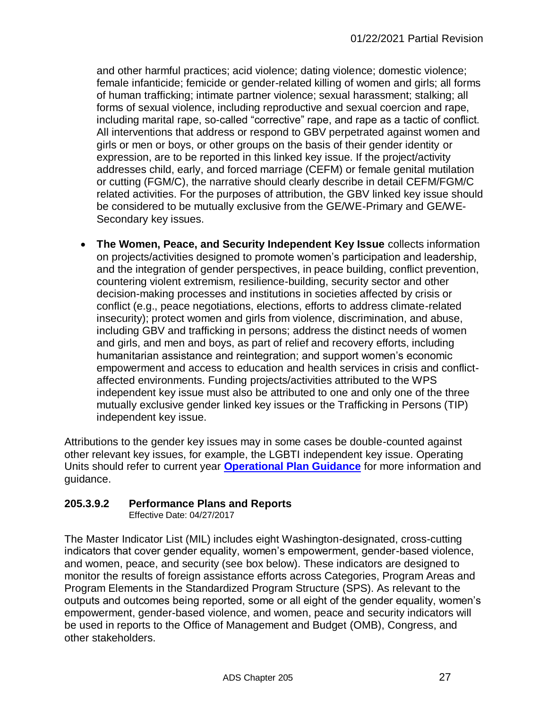and other harmful practices; acid violence; dating violence; domestic violence; female infanticide; femicide or gender-related killing of women and girls; all forms of human trafficking; intimate partner violence; sexual harassment; stalking; all forms of sexual violence, including reproductive and sexual coercion and rape, including marital rape, so-called "corrective" rape, and rape as a tactic of conflict. All interventions that address or respond to GBV perpetrated against women and girls or men or boys, or other groups on the basis of their gender identity or expression, are to be reported in this linked key issue. If the project/activity addresses child, early, and forced marriage (CEFM) or female genital mutilation or cutting (FGM/C), the narrative should clearly describe in detail CEFM/FGM/C related activities. For the purposes of attribution, the GBV linked key issue should be considered to be mutually exclusive from the GE/WE-Primary and GE/WE-Secondary key issues.

 **The Women, Peace, and Security Independent Key Issue** collects information on projects/activities designed to promote women's participation and leadership, and the integration of gender perspectives, in peace building, conflict prevention, countering violent extremism, resilience-building, security sector and other decision-making processes and institutions in societies affected by crisis or conflict (e.g., peace negotiations, elections, efforts to address climate-related insecurity); protect women and girls from violence, discrimination, and abuse, including GBV and trafficking in persons; address the distinct needs of women and girls, and men and boys, as part of relief and recovery efforts, including humanitarian assistance and reintegration; and support women's economic empowerment and access to education and health services in crisis and conflictaffected environments. Funding projects/activities attributed to the WPS independent key issue must also be attributed to one and only one of the three mutually exclusive gender linked key issues or the Trafficking in Persons (TIP) independent key issue.

Attributions to the gender key issues may in some cases be double-counted against other relevant key issues, for example, the LGBTI independent key issue. Operating Units should refer to current year **[Operational Plan Guidance](https://pages.usaid.gov/F/op)** for more information and guidance.

# **205.3.9.2 Performance Plans and Reports**

Effective Date: 04/27/2017

The Master Indicator List (MIL) includes eight Washington-designated, cross-cutting indicators that cover gender equality, women's empowerment, gender-based violence, and women, peace, and security (see box below). These indicators are designed to monitor the results of foreign assistance efforts across Categories, Program Areas and Program Elements in the Standardized Program Structure (SPS). As relevant to the outputs and outcomes being reported, some or all eight of the gender equality, women's empowerment, gender-based violence, and women, peace and security indicators will be used in reports to the Office of Management and Budget (OMB), Congress, and other stakeholders.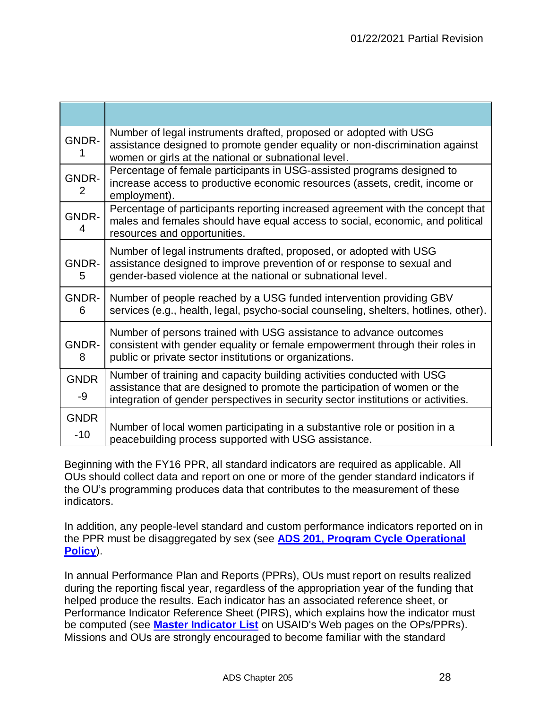| <b>GNDR-</b>           | Number of legal instruments drafted, proposed or adopted with USG<br>assistance designed to promote gender equality or non-discrimination against<br>women or girls at the national or subnational level.                                |
|------------------------|------------------------------------------------------------------------------------------------------------------------------------------------------------------------------------------------------------------------------------------|
| GNDR-<br>$\mathcal{P}$ | Percentage of female participants in USG-assisted programs designed to<br>increase access to productive economic resources (assets, credit, income or<br>employment).                                                                    |
| GNDR-<br>4             | Percentage of participants reporting increased agreement with the concept that<br>males and females should have equal access to social, economic, and political<br>resources and opportunities.                                          |
| GNDR-<br>5             | Number of legal instruments drafted, proposed, or adopted with USG<br>assistance designed to improve prevention of or response to sexual and<br>gender-based violence at the national or subnational level.                              |
| GNDR-<br>6             | Number of people reached by a USG funded intervention providing GBV<br>services (e.g., health, legal, psycho-social counseling, shelters, hotlines, other).                                                                              |
| <b>GNDR-</b><br>8      | Number of persons trained with USG assistance to advance outcomes<br>consistent with gender equality or female empowerment through their roles in<br>public or private sector institutions or organizations.                             |
| <b>GNDR</b><br>-9      | Number of training and capacity building activities conducted with USG<br>assistance that are designed to promote the participation of women or the<br>integration of gender perspectives in security sector institutions or activities. |
| <b>GNDR</b><br>$-10$   | Number of local women participating in a substantive role or position in a<br>peacebuilding process supported with USG assistance.                                                                                                       |

Beginning with the FY16 PPR, all standard indicators are required as applicable. All OUs should collect data and report on one or more of the gender standard indicators if the OU's programming produces data that contributes to the measurement of these indicators.

In addition, any people-level standard and custom performance indicators reported on in the PPR must be disaggregated by sex (see **[ADS 201, Program Cycle Operational](https://www.usaid.gov/ads/policy/200/201)  [Policy](https://www.usaid.gov/ads/policy/200/201)**).

In annual Performance Plan and Reports (PPRs), OUs must report on results realized during the reporting fiscal year, regardless of the appropriation year of the funding that helped produce the results. Each indicator has an associated reference sheet, or Performance Indicator Reference Sheet (PIRS), which explains how the indicator must be computed (see **[Master Indicator List](https://pages.usaid.gov/F/ppr)** on USAID's Web pages on the OPs/PPRs). Missions and OUs are strongly encouraged to become familiar with the standard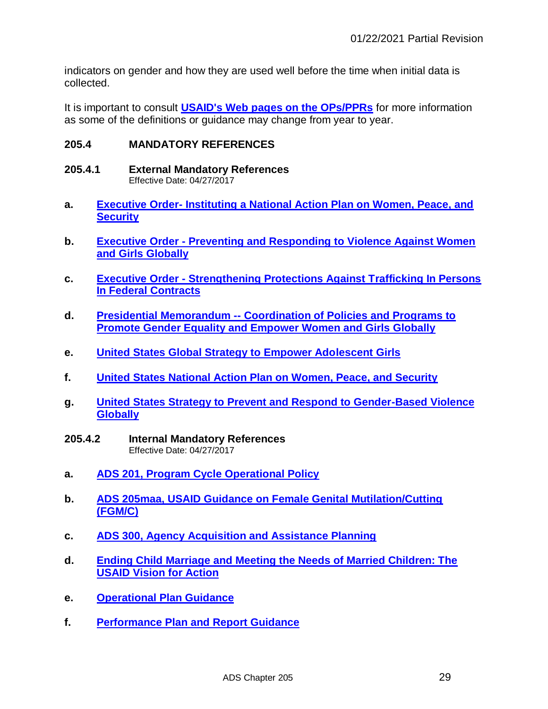indicators on gender and how they are used well before the time when initial data is collected.

It is important to consult **[USAID's Web pages on the OPs/PPRs](https://pages.usaid.gov/F/what-we-do)** for more information as some of the definitions or guidance may change from year to year.

#### **205.4 MANDATORY REFERENCES**

- **205.4.1 External Mandatory References** Effective Date: 04/27/2017
- **a. Executive Order- [Instituting a National Action Plan on Women, Peace, and](http://www.whitehouse.gov/the-press-office/2011/12/19/executive-order-instituting-national-action-plan-women-peace-and-securit)  [Security](http://www.whitehouse.gov/the-press-office/2011/12/19/executive-order-instituting-national-action-plan-women-peace-and-securit)**
- **b. Executive Order - [Preventing and Responding to Violence Against Women](http://www.whitehouse.gov/the-press-office/2012/08/10/executive-order-preventing-and-responding-violence-against-women-and-gir)  [and Girls Globally](http://www.whitehouse.gov/the-press-office/2012/08/10/executive-order-preventing-and-responding-violence-against-women-and-gir)**
- **c. Executive Order - [Strengthening Protections Against Trafficking In Persons](http://www.whitehouse.gov/the-press-office/2012/09/25/executive-order-strengthening-protections-against-trafficking-persons-fe)  [In Federal Contracts](http://www.whitehouse.gov/the-press-office/2012/09/25/executive-order-strengthening-protections-against-trafficking-persons-fe)**
- **d. Presidential Memorandum -- [Coordination of Policies and Programs to](http://www.whitehouse.gov/the-press-office/2013/01/30/presidential-memorandum-coordination-policies-and-programs-promote-gende)  [Promote Gender Equality and Empower Women and Girls Globally](http://www.whitehouse.gov/the-press-office/2013/01/30/presidential-memorandum-coordination-policies-and-programs-promote-gende)**
- **e. [United States Global Strategy to Empower Adolescent Girls](http://www.state.gov/documents/organization/254904.pdf)**
- **f. [United States National Action Plan on Women, Peace, and Security](https://www.usaid.gov/sites/default/files/documents/1868/National%20Action%20Plan%20on%20Women%2C%20Peace%2C%20and%20Security.pdf)**
- **[g.](http://www.whitehouse.gov/sites/default/files/email-files/US_National_Action_Plan_on_Women_Peace_and_Security.pdf) [United States Strategy to Prevent and Respond to Gender-Based Violence](http://www.whitehouse.gov/sites/default/files/email-files/US_National_Action_Plan_on_Women_Peace_and_Security.pdf)  [Globally](http://www.usaid.gov/what-we-do/gender-equality-and-womens-empowerment/gender-based-violence)**
- **205.4.2 Internal Mandatory References** Effective Date: 04/27/2017
- **a. [ADS 201, Program Cycle Operational Policy](http://www.usaid.gov/ads/policy/200/201)**
- **b. [ADS 205maa, USAID Guidance on Female Genital Mutilation/Cutting](https://www.usaid.gov/ads/policy/200/205maa)  [\(FGM/C\)](https://www.usaid.gov/ads/policy/200/205maa)**
- **c. [ADS 300, Agency Acquisition and Assistance Planning](http://www.usaid.gov/ads/policy/300/300)**
- **[d.](http://www.usaid.gov/ads/policy/300/300) [Ending Child Marriage and Meeting the Needs of Married Children: The](http://www.usaid.gov/documents/2155/fact-sheet-child-marriage-vision)  [USAID Vision for Action](http://www.usaid.gov/documents/2155/fact-sheet-child-marriage-vision)**
- **e. [Operational Plan Guidance](https://pages.usaid.gov/F/op)**
- **f. [Performance Plan and Report Guidance](https://pages.usaid.gov/F/ppr)**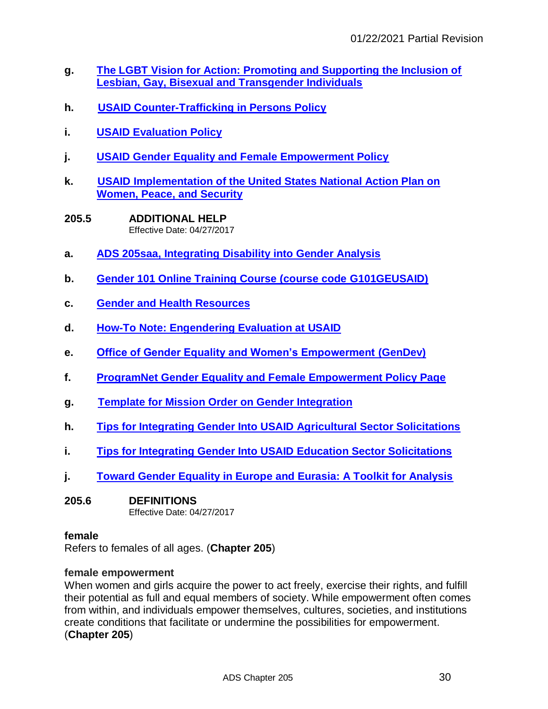- **[g.](http://f.state.sbu/Pages/PPR2012.aspx) [The LGBT Vision for Action: Promoting and Supporting the Inclusion of](http://f.state.sbu/Pages/PPR2012.aspx)  [Lesbian, Gay, Bisexual and Transgender Individuals](https://www.usaid.gov/sites/default/files/documents/1874/LGBT%20Vision.pdf)**
- **h. [USAID Counter-Trafficking in Persons Policy](http://pdf.usaid.gov/pdf_docs/PDACT111.pdf)**
- **i. [USAID Evaluation Policy](https://www.usaid.gov/evaluation/policy)**
- **j. [USAID Gender Equality and Female Empowerment Policy](https://www.usaid.gov/sites/default/files/documents/1865/GenderEqualityPolicy_0.pdf)**
- **k. [USAID Implementation of the United States National Action Plan on](https://www.usaid.gov/sites/default/files/US_NAP_WPS_Implementation.pdf)  [Women, Peace, and Security](https://www.usaid.gov/sites/default/files/US_NAP_WPS_Implementation.pdf)**
- **205.5 ADDITIONAL HELP**  Effective Date: 04/27/2017
- **a. ADS 205saa, Integrating [Disability into Gender Analysis](http://www.usaid.gov/ads/policy/200/205saa)**
- **b. [Gender 101 Online Training Course \(course code G101GEUSAID\)](https://workplace-usaid.csod.com/LMS/catalog/Welcome.aspx?tab_page_id=-67&tab_id=-1)**
- **c. [Gender and Health Resources](http://ghintranet.usaid.gov/GHNET/Pages/GHOffices/CCFA/GenderEquality/Index.aspx)**
- **[d.](http://transition.usaid.gov/our_work/cross-cutting_programs/wid/pubs/Guide_How_Integrate_Disability_Gender_Assessments_2010.pdf) [How](http://transition.usaid.gov/our_work/cross-cutting_programs/wid/pubs/Guide_How_Integrate_Disability_Gender_Assessments_2010.pdf)[-To Note: Engendering Evaluation at USAID](https://programnet.usaid.gov/library/how-note-engendering-evaluation-usaid)**
- **e. [Office of Gender Equality and Women's Empowerment \(GenDev\)](http://www.usaid.gov/who-we-are/organization/bureaus/bureau-economic-growth-education-and-environment/office-gender)**
- **f. [ProgramNet Gender Equality and Female Empowerment Policy Page](https://programnet.usaid.gov/topics-sectors/gender)**
- **g. [Template for Mission Order on Gender Integration](https://programnet.usaid.gov/system/files/library/Template_MO_gender_revised_2015_FINAL.pdf)**
- **h. [Tips for Integrating Gender Into USAID Agricultural Sector Solicitations](http://pdf.usaid.gov/pdf_docs/Pnadu833.pdf)**
- **i. [Tips for Integrating Gender Into USAID Education Sector Solicitations](http://pdf.usaid.gov/pdf_docs/Pnadm805.pdf)**
- **j. [Toward Gender Equality in Europe and Eurasia: A Toolkit for Analysis](http://pdf.usaid.gov/pdf_docs/pnaea292.pdf)**

## **205.6 DEFINITIONS**

Effective Date: 04/27/2017

#### **female**

Refers to females of all ages. (**Chapter 205**)

#### **female empowerment**

When women and girls acquire the power to act freely, exercise their rights, and fulfill their potential as full and equal members of society. While empowerment often comes from within, and individuals empower themselves, cultures, societies, and institutions create conditions that facilitate or undermine the possibilities for empowerment. (**Chapter 205**)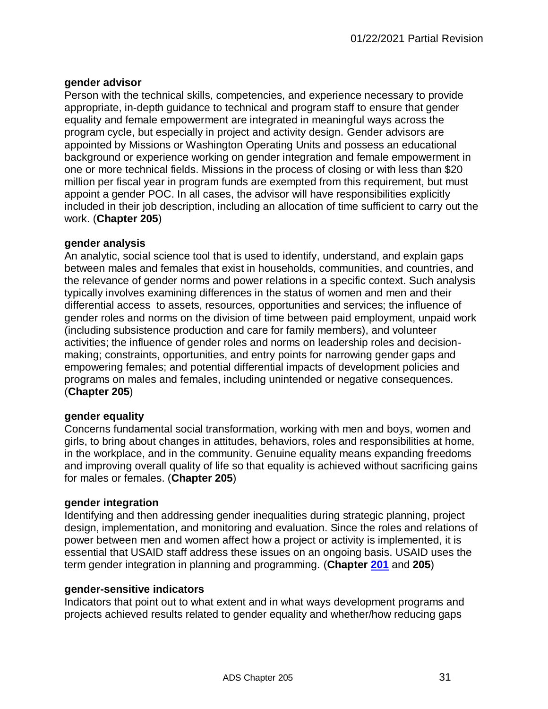## **gender advisor**

Person with the technical skills, competencies, and experience necessary to provide appropriate, in-depth guidance to technical and program staff to ensure that gender equality and female empowerment are integrated in meaningful ways across the program cycle, but especially in project and activity design. Gender advisors are appointed by Missions or Washington Operating Units and possess an educational background or experience working on gender integration and female empowerment in one or more technical fields. Missions in the process of closing or with less than \$20 million per fiscal year in program funds are exempted from this requirement, but must appoint a gender POC. In all cases, the advisor will have responsibilities explicitly included in their job description, including an allocation of time sufficient to carry out the work. (**Chapter 205**)

## **gender analysis**

An analytic, social science tool that is used to identify, understand, and explain gaps between males and females that exist in households, communities, and countries, and the relevance of gender norms and power relations in a specific context. Such analysis typically involves examining differences in the status of women and men and their differential access to assets, resources, opportunities and services; the influence of gender roles and norms on the division of time between paid employment, unpaid work (including subsistence production and care for family members), and volunteer activities; the influence of gender roles and norms on leadership roles and decisionmaking; constraints, opportunities, and entry points for narrowing gender gaps and empowering females; and potential differential impacts of development policies and programs on males and females, including unintended or negative consequences. (**Chapter 205**)

# **gender equality**

Concerns fundamental social transformation, working with men and boys, women and girls, to bring about changes in attitudes, behaviors, roles and responsibilities at home, in the workplace, and in the community. Genuine equality means expanding freedoms and improving overall quality of life so that equality is achieved without sacrificing gains for males or females. (**Chapter 205**)

## **gender integration**

Identifying and then addressing gender inequalities during strategic planning, project design, implementation, and monitoring and evaluation. Since the roles and relations of power between men and women affect how a project or activity is implemented, it is essential that USAID staff address these issues on an ongoing basis. USAID uses the term gender integration in planning and programming. (**Chapter [201](http://www.usaid.gov/ads/policy/200/201)** and **205**)

## **gender-sensitive indicators**

Indicators that point out to what extent and in what ways development programs and projects achieved results related to gender equality and whether/how reducing gaps